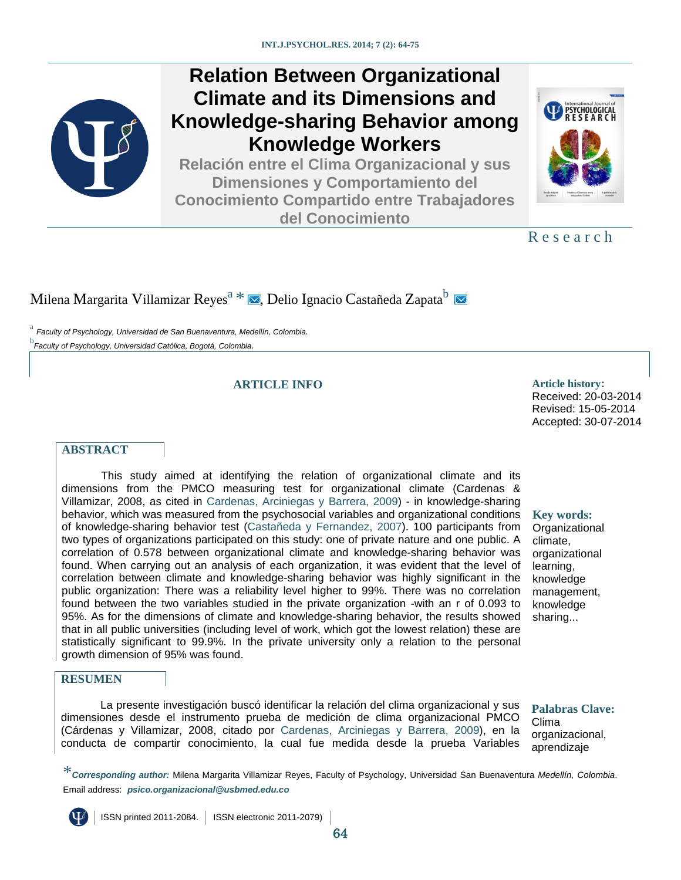

# **Relation Between Organizational Climate and its Dimensions and Knowledge-sharing Behavior among Knowledge Workers**

**Relación entre el Clima Organizacional y sus Dimensiones y Comportamiento del Conocimiento Compartido entre Trabajadores del Conocimiento**



R e s e a r c h

## Milen[a](#page-0-0) Margarita Villamizar Reyes<sup>a [\\*](#page-0-1)</sup>  $\blacksquare$  $\blacksquare$  $\blacksquare$ [,](mailto:psico.organizacional@usbmed.edu.co) Delio Ignacio Castañeda Zapata<sup>b</sup>  $\blacksquare$

<span id="page-0-2"></span><span id="page-0-0"></span>[a](#page-0-0) *Faculty of Psychology, Universidad de San Buenaventura, Medellín, Colombia.* [b](#page-0-0) *Faculty of Psychology, Universidad Católica, Bogotá, Colombia.*

#### **ARTICLE INFO Article history:**

Received: 20-03-2014 Revised: 15-05-2014

Accepted: 30-07-2014

#### **ABSTRACT**

This study aimed at identifying the relation of organizational climate and its dimensions from the PMCO measuring test for organizational climate (Cardenas & Villamizar, 2008, as cited in [Cardenas, Arciniegas y](#page-9-0) Barrera, 2009) - in knowledge-sharing behavior, which was measured from the psychosocial variables and organizational conditions of knowledge-sharing behavior test (Castañeda y [Fernandez, 2007\)](#page-10-0). 100 participants from two types of organizations participated on this study: one of private nature and one public. A correlation of 0.578 between organizational climate and knowledge-sharing behavior was found. When carrying out an analysis of each organization, it was evident that the level of correlation between climate and knowledge-sharing behavior was highly significant in the public organization: There was a reliability level higher to 99%. There was no correlation found between the two variables studied in the private organization -with an r of 0.093 to 95%. As for the dimensions of climate and knowledge-sharing behavior, the results showed that in all public universities (including level of work, which got the lowest relation) these are statistically significant to 99.9%. In the private university only a relation to the personal growth dimension of 95% was found.

#### **Key words:**

**Organizational** climate, organizational learning, knowledge management, knowledge sharing...

#### **RESUMEN**

La presente investigación buscó identificar la relación del clima organizacional y sus dimensiones desde el instrumento prueba de medición de clima organizacional PMCO (Cárdenas y Villamizar, 2008, citado por [Cardenas, Arciniegas y Barrera, 2009\)](#page-9-0), en la conducta de compartir conocimiento, la cual fue medida desde la prueba Variables

**Palabras Clave:** Clima organizacional, aprendizaje

<span id="page-0-1"></span>\**Corresponding author:* Milena Margarita Villamizar Reyes, Faculty of Psychology, Universidad San Buenaventura *Medellín, Colombia*. Email address: *psico.organizacional@usbmed.edu.co*

ISSN printed 2011-2084. ISSN electronic 2011-2079)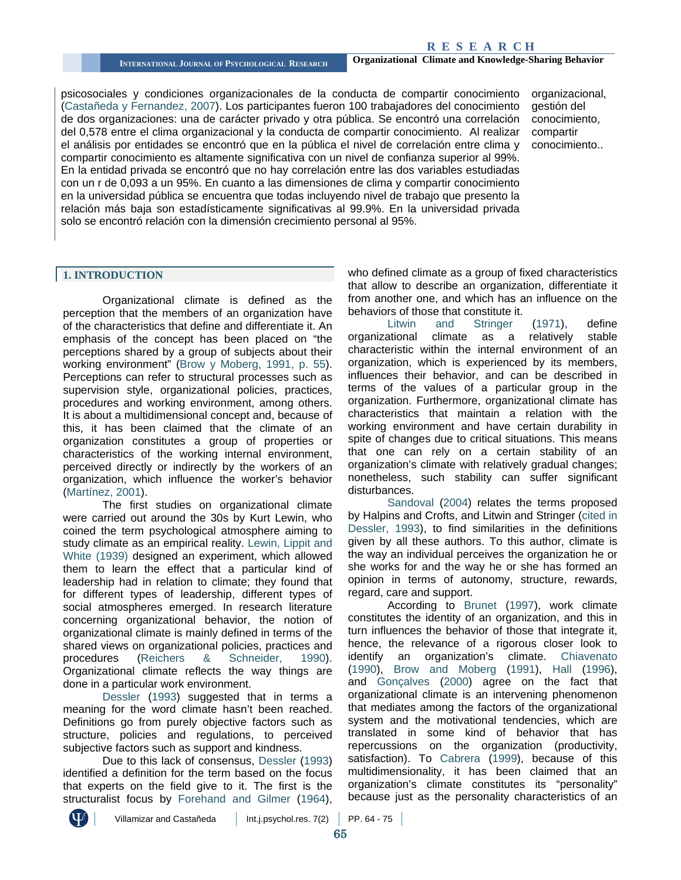psicosociales y condiciones organizacionales de la conducta de compartir conocimiento (Castañeda [y Fernandez, 2007\)](#page-10-0). Los participantes fueron 100 trabajadores del conocimiento de dos organizaciones: una de carácter privado y otra pública. Se encontró una correlación del 0,578 entre el clima organizacional y la conducta de compartir conocimiento. Al realizar el análisis por entidades se encontró que en la pública el nivel de correlación entre clima y compartir conocimiento es altamente significativa con un nivel de confianza superior al 99%. En la entidad privada se encontró que no hay correlación entre las dos variables estudiadas con un r de 0,093 a un 95%. En cuanto a las dimensiones de clima y compartir conocimiento en la universidad pública se encuentra que todas incluyendo nivel de trabajo que presento la relación más baja son estadísticamente significativas al 99.9%. En la universidad privada solo se encontró relación con la dimensión crecimiento personal al 95%.

organizacional, gestión del conocimiento, compartir conocimiento..

#### **1. INTRODUCTION**

Organizational climate is defined as the perception that the members of an organization have of the characteristics that define and differentiate it. An emphasis of the concept has been placed on "the perceptions shared by a group of subjects about their working environment" (Brow y [Moberg, 1991, p. 55\)](#page-9-1). Perceptions can refer to structural processes such as supervision style, organizational policies, practices, procedures and working environment, among others. It is about a multidimensional concept and, because of this, it has been claimed that the climate of an organization constitutes a group of properties or characteristics of the working internal environment, perceived directly or indirectly by the workers of an organization, which influence the worker's behavior [\(Martínez, 2001\)](#page-10-1).

The first studies on organizational climate were carried out around the 30s by Kurt Lewin, who coined the term psychological atmosphere aiming to study climate as an empirical reality. [Lewin, Lippit and](#page-10-2)  [White \(1939\)](#page-10-2) designed an experiment, which allowed them to learn the effect that a particular kind of leadership had in relation to climate; they found that for different types of leadership, different types of social atmospheres emerged. In research literature concerning organizational behavior, the notion of organizational climate is mainly defined in terms of the shared views on organizational policies, practices and procedures [\(Reichers & Schneider, 1990\)](#page-11-0). Organizational climate reflects the way things are done in a particular work environment.

[Dessler](#page-10-3) (1993) suggested that in terms a meaning for the word climate hasn't been reached. Definitions go from purely objective factors such as structure, policies and regulations, to perceived subjective factors such as support and kindness.

Due to this lack of consensus, [Dessler \(1993\)](#page-10-3) identified a definition for the term based on the focus that experts on the field give to it. The first is the structuralist focus by [Forehand and Gilmer](#page-10-4) (1964),

who defined climate as a group of fixed characteristics that allow to describe an organization, differentiate it from another one, and which has an influence on the behaviors of those that constitute it.<br>Litwin and Stringer

and Stringer (1971), define organizational climate as a relatively stable characteristic within the internal environment of an organization, which is experienced by its members, influences their behavior, and can be described in terms of the values of a particular group in the organization. Furthermore, organizational climate has characteristics that maintain a relation with the working environment and have certain durability in spite of changes due to critical situations. This means that one can rely on a certain stability of an organization's climate with relatively gradual changes; nonetheless, such stability can suffer significant disturbances.

[Sandoval \(2004\)](#page-11-1) relates the terms proposed by Halpins and Crofts, and Litwin and Stringer [\(cited in](#page-10-3)  [Dessler, 1993\)](#page-10-3), to find similarities in the definitions given by all these authors. To this author, climate is the way an individual perceives the organization he or she works for and the way he or she has formed an opinion in terms of autonomy, structure, rewards, regard, care and support.

According to [Brunet \(1997\),](#page-9-2) work climate constitutes the identity of an organization, and this in turn influences the behavior of those that integrate it, hence, the relevance of a rigorous closer look to identify an organization's climate. [Chiavenato](#page-10-6)  [\(1990\),](#page-10-6) [Brow and Moberg](#page-9-1) (1991), Hall [\(1996\),](#page-10-7) and [Gonçalves](#page-10-8) (2000) agree on the fact that organizational climate is an intervening phenomenon that mediates among the factors of the organizational system and the motivational tendencies, which are translated in some kind of behavior that has repercussions on the organization (productivity, satisfaction). To [Cabrera \(1999\),](#page-9-3) because of this multidimensionality, it has been claimed that an organization's climate constitutes its "personality" because just as the personality characteristics of an

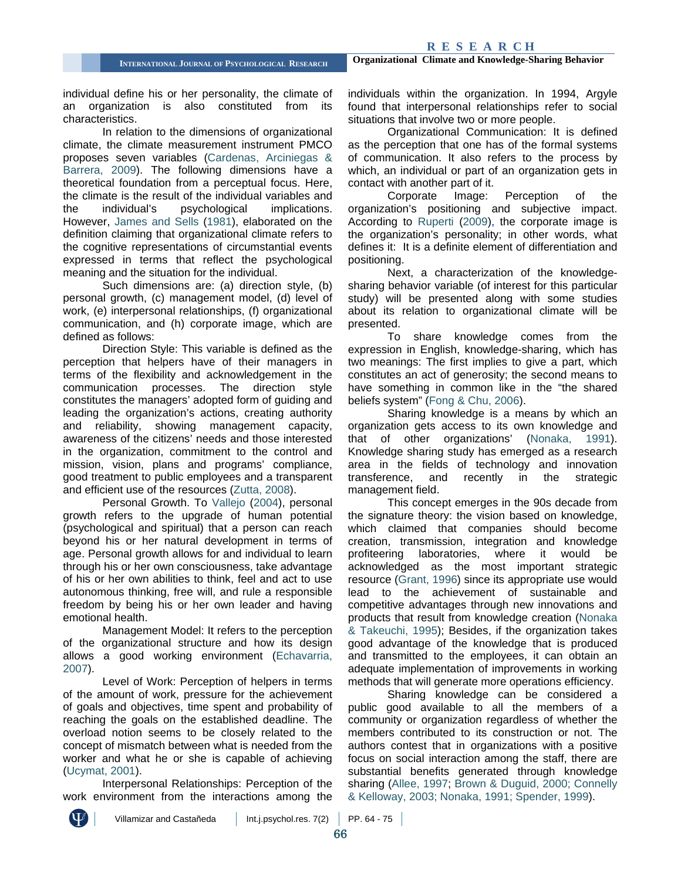individual define his or her personality, the climate of an organization is also constituted from its characteristics.

In relation to the dimensions of organizational climate, the climate measurement instrument PMCO proposes seven variables [\(Cardenas, Arciniegas &](#page-9-0)  [Barrera, 2009\)](#page-9-0). The following dimensions have a theoretical foundation from a perceptual focus. Here, the climate is the result of the individual variables and the individual's psychological implications. However, [James and Sells](#page-10-9) (1981), elaborated on the definition claiming that organizational climate refers to the cognitive representations of circumstantial events expressed in terms that reflect the psychological meaning and the situation for the individual.

Such dimensions are: (a) direction style, (b) personal growth, (c) management model, (d) level of work, (e) interpersonal relationships, (f) organizational communication, and (h) corporate image, which are defined as follows:

Direction Style: This variable is defined as the perception that helpers have of their managers in terms of the flexibility and acknowledgement in the communication processes. The direction style constitutes the managers' adopted form of guiding and leading the organization's actions, creating authority and reliability, showing management capacity, awareness of the citizens' needs and those interested in the organization, commitment to the control and mission, vision, plans and programs' compliance, good treatment to public employees and a transparent and efficient use of the resources [\(Zutta, 2008\)](#page-11-2).

Personal Growth. To [Vallejo](#page-11-3) (2004), personal growth refers to the upgrade of human potential (psychological and spiritual) that a person can reach beyond his or her natural development in terms of age. Personal growth allows for and individual to learn through his or her own consciousness, take advantage of his or her own abilities to think, feel and act to use autonomous thinking, free will, and rule a responsible freedom by being his or her own leader and having emotional health.

Management Model: It refers to the perception of the organizational structure and how its design allows a good working environment [\(Echavarria,](#page-10-10)  [2007\)](#page-10-10).

Level of Work: Perception of helpers in terms of the amount of work, pressure for the achievement of goals and objectives, time spent and probability of reaching the goals on the established deadline. The overload notion seems to be closely related to the concept of mismatch between what is needed from the worker and what he or she is capable of achieving [\(Ucymat, 2001\)](#page-11-4).

Interpersonal Relationships: Perception of the work environment from the interactions among the individuals within the organization. In 1994, Argyle found that interpersonal relationships refer to social situations that involve two or more people.

Organizational Communication: It is defined as the perception that one has of the formal systems of communication. It also refers to the process by which, an individual or part of an organization gets in contact with another part of it.

Corporate Image: Perception of the organization's positioning and subjective impact. According to [Ruperti \(2009\),](#page-11-5) the corporate image is the organization's personality; in other words, what defines it: It is a definite element of differentiation and positioning.

Next, a characterization of the knowledgesharing behavior variable (of interest for this particular study) will be presented along with some studies about its relation to organizational climate will be presented.

To share knowledge comes from the expression in English, knowledge-sharing, which has two meanings: The first implies to give a part, which constitutes an act of generosity; the second means to have something in common like in the "the shared beliefs system" [\(Fong & Chu, 2006\)](#page-10-11).

Sharing knowledge is a means by which an organization gets access to its own knowledge and that of other organizations' [\(Nonaka, 1991\)](#page-10-12). Knowledge sharing study has emerged as a research area in the fields of technology and innovation transference, and recently in the strategic management field.

This concept emerges in the 90s decade from the signature theory: the vision based on knowledge, which claimed that companies should become creation, transmission, integration and knowledge profiteering laboratories, where it would be acknowledged as the most important strategic resource [\(Grant, 1996\)](#page-10-13) since its appropriate use would lead to the achievement of sustainable and competitive advantages through new innovations and products that result from knowledge creation [\(Nonaka](#page-10-14) & [Takeuchi, 1995\)](#page-10-14); Besides, if the organization takes good advantage of the knowledge that is produced and transmitted to the employees, it can obtain an adequate implementation of improvements in working methods that will generate more operations efficiency.

Sharing knowledge can be considered a public good available to all the members of a community or organization regardless of whether the members contributed to its construction or not. The authors contest that in organizations with a positive focus on social interaction among the staff, there are substantial benefits generated through knowledge sharing [\(Allee, 1997;](#page-9-4) [Brown & Duguid, 2000;](#page-9-5) [Connelly](#page-10-15)  [& Kelloway, 2003;](#page-10-15) [Nonaka, 1991;](#page-10-12) [Spender, 1999\)](#page-11-6).

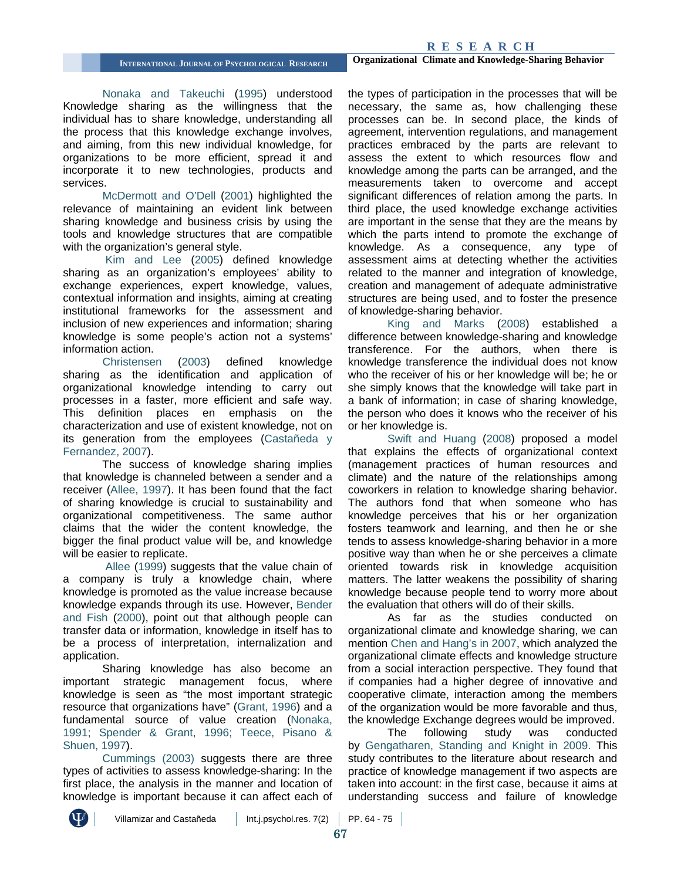[Nonaka and Takeuchi](#page-10-14) (1995) understood Knowledge sharing as the willingness that the individual has to share knowledge, understanding all the process that this knowledge exchange involves, and aiming, from this new individual knowledge, for organizations to be more efficient, spread it and incorporate it to new technologies, products and services.

[McDermott and O'Dell](#page-10-16) (2001) highlighted the relevance of maintaining an evident link between sharing knowledge and business crisis by using the tools and knowledge structures that are compatible with the organization's general style.

[Kim and Lee \(2005\)](#page-10-17) defined knowledge sharing as an organization's employees' ability to exchange experiences, expert knowledge, values, contextual information and insights, aiming at creating institutional frameworks for the assessment and inclusion of new experiences and information; sharing knowledge is some people's action not a systems' information action.

[Christensen \(2003\)](#page-10-18) defined knowledge sharing as the identification and application of organizational knowledge intending to carry out processes in a faster, more efficient and safe way. This definition places en emphasis on the characterization and use of existent knowledge, not on its generation from the employees [\(Castañeda y](#page-10-0)  [Fernandez, 2007\)](#page-10-0).

The success of knowledge sharing implies that knowledge is channeled between a sender and a receiver [\(Allee, 1997\)](#page-9-4). It has been found that the fact of sharing knowledge is crucial to sustainability and organizational competitiveness. The same author claims that the wider the content knowledge, the bigger the final product value will be, and knowledge will be easier to replicate.

[Allee \(1999\)](#page-9-6) suggests that the value chain of a company is truly a knowledge chain, where knowledge is promoted as the value increase because knowledge expands through its use. However, [Bender](#page-9-7)  [and Fish](#page-9-7) (2000), point out that although people can transfer data or information, knowledge in itself has to be a process of interpretation, internalization and application.

Sharing knowledge has also become an important strategic management focus, where knowledge is seen as "the most important strategic resource that organizations have" [\(Grant, 1996\)](#page-10-13) and a fundamental source of value creation [\(Nonaka,](#page-10-12)  [1991;](#page-10-12) [Spender & Grant, 1996;](#page-11-7) [Teece, Pisano &](#page-11-8)  [Shuen, 1997\)](#page-11-8).

[Cummings \(2003\)](#page-10-19) suggests there are three types of activities to assess knowledge-sharing: In the first place, the analysis in the manner and location of knowledge is important because it can affect each of the types of participation in the processes that will be necessary, the same as, how challenging these processes can be. In second place, the kinds of agreement, intervention regulations, and management practices embraced by the parts are relevant to assess the extent to which resources flow and knowledge among the parts can be arranged, and the measurements taken to overcome and accept significant differences of relation among the parts. In third place, the used knowledge exchange activities are important in the sense that they are the means by which the parts intend to promote the exchange of knowledge. As a consequence, any type of assessment aims at detecting whether the activities related to the manner and integration of knowledge, creation and management of adequate administrative structures are being used, and to foster the presence of knowledge-sharing behavior.

[King and Marks](#page-10-20) (2008) established a difference between knowledge-sharing and knowledge transference. For the authors, when there is knowledge transference the individual does not know who the receiver of his or her knowledge will be; he or she simply knows that the knowledge will take part in a bank of information; in case of sharing knowledge, the person who does it knows who the receiver of his or her knowledge is.

[Swift and Huang \(2008\)](#page-11-9) proposed a model that explains the effects of organizational context (management practices of human resources and climate) and the nature of the relationships among coworkers in relation to knowledge sharing behavior. The authors fond that when someone who has knowledge perceives that his or her organization fosters teamwork and learning, and then he or she tends to assess knowledge-sharing behavior in a more positive way than when he or she perceives a climate oriented towards risk in knowledge acquisition matters. The latter weakens the possibility of sharing knowledge because people tend to worry more about the evaluation that others will do of their skills.

As far as the studies conducted on organizational climate and knowledge sharing, we can mention [Chen and Hang's in 2007,](#page-10-21) which analyzed the organizational climate effects and knowledge structure from a social interaction perspective. They found that if companies had a higher degree of innovative and cooperative climate, interaction among the members of the organization would be more favorable and thus, the knowledge Exchange degrees would be improved.

The following study was conducted by [Gengatharen, Standing and Knight in 2009.](#page-10-22) This study contributes to the literature about research and practice of knowledge management if two aspects are taken into account: in the first case, because it aims at understanding success and failure of knowledge

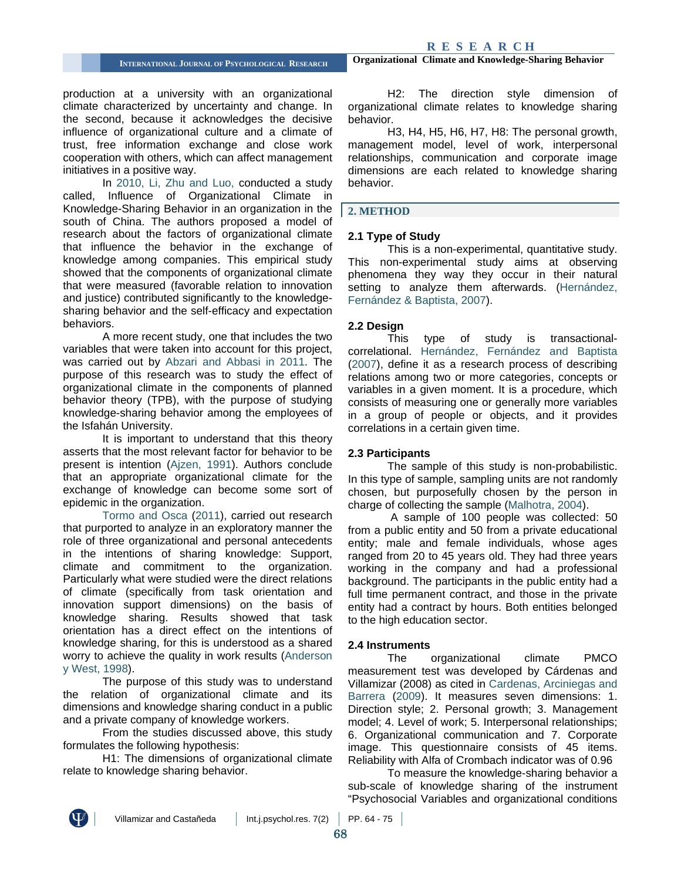production at a university with an organizational climate characterized by uncertainty and change. In the second, because it acknowledges the decisive influence of organizational culture and a climate of trust, free information exchange and close work cooperation with others, which can affect management initiatives in a positive way.

In [2010, Li, Zhu and Luo,](#page-10-23) conducted a study called, Influence of Organizational Climate in Knowledge-Sharing Behavior in an organization in the south of China. The authors proposed a model of research about the factors of organizational climate that influence the behavior in the exchange of knowledge among companies. This empirical study showed that the components of organizational climate that were measured (favorable relation to innovation and justice) contributed significantly to the knowledgesharing behavior and the self-efficacy and expectation behaviors.

A more recent study, one that includes the two variables that were taken into account for this project, was carried out by [Abzari and Abbasi in 2011.](#page-9-8) The purpose of this research was to study the effect of organizational climate in the components of planned behavior theory (TPB), with the purpose of studying knowledge-sharing behavior among the employees of the Isfahán University.

It is important to understand that this theory asserts that the most relevant factor for behavior to be present is intention [\(Ajzen, 1991\)](#page-9-9). Authors conclude that an appropriate organizational climate for the exchange of knowledge can become some sort of epidemic in the organization.

[Tormo and Osca](#page-11-10) (2011), carried out research that purported to analyze in an exploratory manner the role of three organizational and personal antecedents in the intentions of sharing knowledge: Support, climate and commitment to the organization. Particularly what were studied were the direct relations of climate (specifically from task orientation and innovation support dimensions) on the basis of knowledge sharing. Results showed that task orientation has a direct effect on the intentions of knowledge sharing, for this is understood as a shared worry to achieve the quality in work results [\(Anderson](#page-9-10)  [y West, 1998\)](#page-9-10).

The purpose of this study was to understand the relation of organizational climate and its dimensions and knowledge sharing conduct in a public and a private company of knowledge workers.

From the studies discussed above, this study formulates the following hypothesis:

H1: The dimensions of organizational climate relate to knowledge sharing behavior.

**INTERNATIONAL JOURNAL OF PSYCHOLOGICAL RESEARCH Organizational Climate and Knowledge-Sharing Behavior**

H2: The direction style dimension of organizational climate relates to knowledge sharing behavior.

H3, H4, H5, H6, H7, H8: The personal growth, management model, level of work, interpersonal relationships, communication and corporate image dimensions are each related to knowledge sharing behavior.

#### **2. METHOD**

#### **2.1 Type of Study**

This is a non-experimental, quantitative study. This non-experimental study aims at observing phenomena they way they occur in their natural setting to analyze them afterwards. (Hernández, [Fernández & Baptista, 2007\)](#page-10-24).

#### **2.2 Design**

This type of study is transactionalcorrelational. [Hernández, Fernández and Baptista](#page-10-24) [\(2007\),](#page-10-24) define it as a research process of describing relations among two or more categories, concepts or variables in a given moment. It is a procedure, which consists of measuring one or generally more variables in a group of people or objects, and it provides correlations in a certain given time.

#### **2.3 Participants**

The sample of this study is non-probabilistic. In this type of sample, sampling units are not randomly chosen, but purposefully chosen by the person in charge of collecting the sample [\(Malhotra, 2004\)](#page-10-25).

A sample of 100 people was collected: 50 from a public entity and 50 from a private educational entity; male and female individuals, whose ages ranged from 20 to 45 years old. They had three years working in the company and had a professional background. The participants in the public entity had a full time permanent contract, and those in the private entity had a contract by hours. Both entities belonged to the high education sector.

#### **2.4 Instruments**

The organizational climate PMCO measurement test was developed by Cárdenas and Villamizar (2008) as cited in [Cardenas, Arciniegas and](#page-9-0)  [Barrera \(2009\).](#page-9-0) It measures seven dimensions: 1. Direction style; 2. Personal growth; 3. Management model; 4. Level of work; 5. Interpersonal relationships; 6. Organizational communication and 7. Corporate image. This questionnaire consists of 45 items. Reliability with Alfa of Crombach indicator was of 0.96

To measure the knowledge-sharing behavior a sub-scale of knowledge sharing of the instrument "Psychosocial Variables and organizational conditions

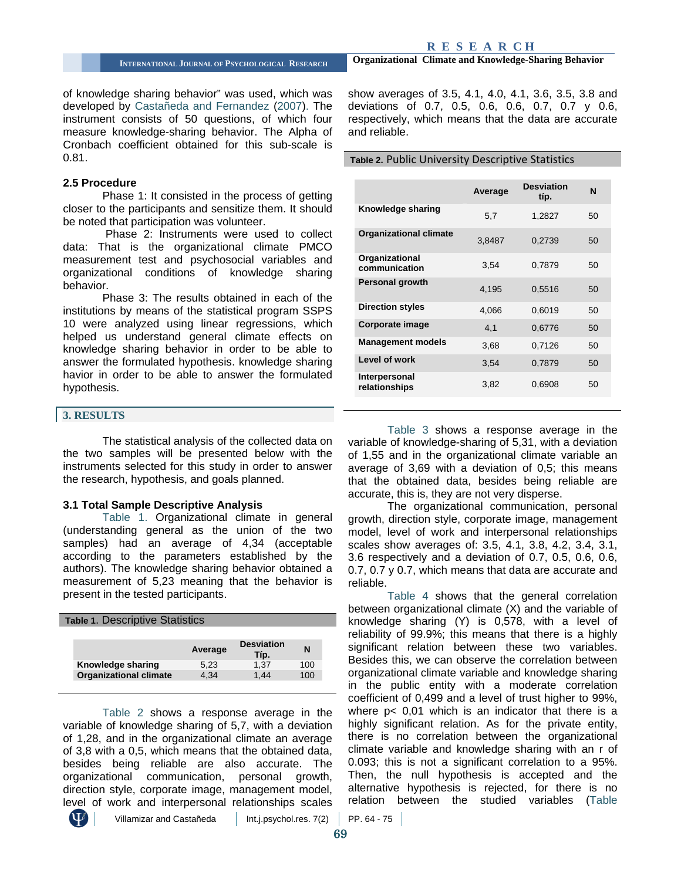of knowledge sharing behavior" was used, which was developed by [Castañeda and Fernandez](#page-10-0) (2007). The instrument consists of 50 questions, of which four measure knowledge-sharing behavior. The Alpha of Cronbach coefficient obtained for this sub-scale is 0.81.

#### **2.5 Procedure**

Phase 1: It consisted in the process of getting closer to the participants and sensitize them. It should be noted that participation was volunteer.

Phase 2: Instruments were used to collect data: That is the organizational climate PMCO measurement test and psychosocial variables and organizational conditions of knowledge sharing behavior.

Phase 3: The results obtained in each of the institutions by means of the statistical program SSPS 10 were analyzed using linear regressions, which helped us understand general climate effects on knowledge sharing behavior in order to be able to answer the formulated hypothesis. knowledge sharing havior in order to be able to answer the formulated hypothesis.

#### **3. RESULTS**

The statistical analysis of the collected data on the two samples will be presented below with the instruments selected for this study in order to answer the research, hypothesis, and goals planned.

#### **3.1 Total Sample Descriptive Analysis**

[Table 1.](#page-5-0) Organizational climate in general (understanding general as the union of the two samples) had an average of 4,34 (acceptable according to the parameters established by the authors). The knowledge sharing behavior obtained a measurement of 5,23 meaning that the behavior is present in the tested participants.

<span id="page-5-0"></span>

| Table 1. Descriptive Statistics |         |                           |     |  |  |  |
|---------------------------------|---------|---------------------------|-----|--|--|--|
|                                 |         |                           |     |  |  |  |
|                                 | Average | <b>Desviation</b><br>Típ. | N   |  |  |  |
| Knowledge sharing               | 5.23    | 1.37                      | 100 |  |  |  |
| <b>Organizational climate</b>   | 4.34    | 1.44                      | 100 |  |  |  |

[Table 2](#page-5-1) shows a response average in the variable of knowledge sharing of 5,7, with a deviation of 1,28, and in the organizational climate an average of 3,8 with a 0,5, which means that the obtained data, besides being reliable are also accurate. The organizational communication, personal growth, direction style, corporate image, management model, level of work and interpersonal relationships scales

**INTERNATIONAL JOURNAL OF PSYCHOLOGICAL RESEARCH Organizational Climate and Knowledge-Sharing Behavior**

show averages of 3.5, 4.1, 4.0, 4.1, 3.6, 3.5, 3.8 and deviations of 0.7, 0.5, 0.6, 0.6, 0.7, 0.7 y 0.6, respectively, which means that the data are accurate and reliable.

#### <span id="page-5-1"></span>**Table 2.** Public University Descriptive Statistics

|                                 | Average | <b>Desviation</b><br>típ. | N  |
|---------------------------------|---------|---------------------------|----|
| Knowledge sharing               | 5.7     | 1,2827                    | 50 |
| <b>Organizational climate</b>   | 3,8487  | 0,2739                    | 50 |
| Organizational<br>communication | 3,54    | 0.7879                    | 50 |
| <b>Personal growth</b>          | 4.195   | 0.5516                    | 50 |
| <b>Direction styles</b>         | 4.066   | 0,6019                    | 50 |
| Corporate image                 | 4.1     | 0,6776                    | 50 |
| <b>Management models</b>        | 3,68    | 0,7126                    | 50 |
| Level of work                   | 3.54    | 0,7879                    | 50 |
| Interpersonal<br>relationships  | 3,82    | 0.6908                    | 50 |

[Table 3](#page-6-0) shows a response average in the variable of knowledge-sharing of 5,31, with a deviation of 1,55 and in the organizational climate variable an average of 3,69 with a deviation of 0,5; this means that the obtained data, besides being reliable are accurate, this is, they are not very disperse.

The organizational communication, personal growth, direction style, corporate image, management model, level of work and interpersonal relationships scales show averages of: 3.5, 4.1, 3.8, 4.2, 3.4, 3.1, 3.6 respectively and a deviation of 0.7, 0.5, 0.6, 0.6, 0.7, 0.7 y 0.7, which means that data are accurate and reliable.

Table 4 shows that the general correlation between organizational climate (X) and the variable of knowledge sharing (Y) is 0,578, with a level of reliability of 99.9%; this means that there is a highly significant relation between these two variables. Besides this, we can observe the correlation between organizational climate variable and knowledge sharing in the public entity with a moderate correlation coefficient of 0,499 and a level of trust higher to 99%, where p< 0,01 which is an indicator that there is a highly significant relation. As for the private entity, there is no correlation between the organizational climate variable and knowledge sharing with an r of 0.093; this is not a significant correlation to a 95%. Then, the null hypothesis is accepted and the alternative hypothesis is rejected, for there is no relation between the studied variables (Table

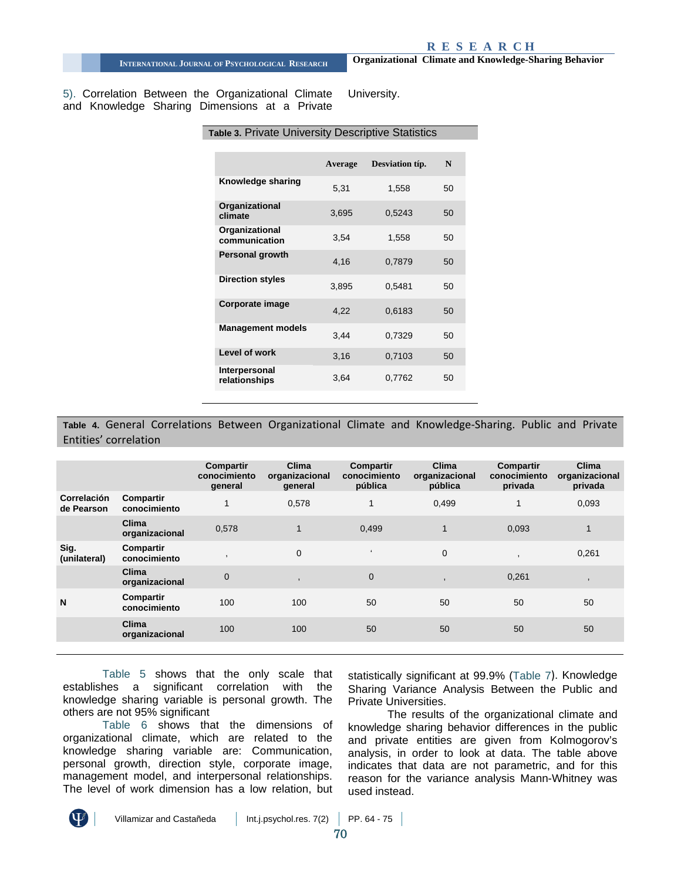5). Correlation Between the Organizational Climate and Knowledge Sharing Dimensions at a Private University.

<span id="page-6-0"></span>

| Table 3. Private University Descriptive Statistics |         |                 |    |  |  |  |
|----------------------------------------------------|---------|-----------------|----|--|--|--|
|                                                    |         |                 |    |  |  |  |
|                                                    | Average | Desviation típ. | N  |  |  |  |
| Knowledge sharing                                  | 5,31    | 1,558           | 50 |  |  |  |
| Organizational<br>climate                          | 3,695   | 0,5243          | 50 |  |  |  |
| Organizational<br>communication                    | 3,54    | 1,558           | 50 |  |  |  |
| Personal growth                                    | 4.16    | 0.7879          | 50 |  |  |  |
| <b>Direction styles</b>                            | 3,895   | 0,5481          | 50 |  |  |  |
| Corporate image                                    | 4,22    | 0,6183          | 50 |  |  |  |
| <b>Management models</b>                           | 3,44    | 0,7329          | 50 |  |  |  |
| Level of work                                      | 3,16    | 0,7103          | 50 |  |  |  |
| Interpersonal<br>relationships                     | 3,64    | 0,7762          | 50 |  |  |  |

#### **Table 4.** General Correlations Between Organizational Climate and Knowledge-Sharing. Public and Private Entities' correlation

|                                  |                                | Compartir<br>conocimiento<br>general | <b>Clima</b><br>organizacional<br>general | Compartir<br>conocimiento<br>pública | Clima<br>organizacional<br>pública | Compartir<br>conocimiento<br>privada | Clima<br>organizacional<br>privada |
|----------------------------------|--------------------------------|--------------------------------------|-------------------------------------------|--------------------------------------|------------------------------------|--------------------------------------|------------------------------------|
| <b>Correlación</b><br>de Pearson | Compartir<br>conocimiento      | 1                                    | 0,578                                     | 1                                    | 0,499                              |                                      | 0,093                              |
|                                  | Clima<br>organizacional        | 0,578                                | $\mathbf{1}$                              | 0.499                                |                                    | 0,093                                | $\mathbf{1}$                       |
| Sig.<br>(unilateral)             | Compartir<br>conocimiento      |                                      | $\Omega$                                  | $\epsilon$                           | $\mathbf 0$                        |                                      | 0,261                              |
|                                  | <b>Clima</b><br>organizacional | $\mathbf 0$                          |                                           | $\mathbf{0}$                         | $\overline{\phantom{a}}$           | 0,261                                |                                    |
| N                                | Compartir<br>conocimiento      | 100                                  | 100                                       | 50                                   | 50                                 | 50                                   | 50                                 |
|                                  | <b>Clima</b><br>organizacional | 100                                  | 100                                       | 50                                   | 50                                 | 50                                   | 50                                 |

[Table 5](#page-7-0) shows that the only scale that establishes a significant correlation with the knowledge sharing variable is personal growth. The others are not 95% significant

[Table 6](#page-7-1) shows that the dimensions of organizational climate, which are related to the knowledge sharing variable are: Communication, personal growth, direction style, corporate image, management model, and interpersonal relationships. The level of work dimension has a low relation, but statistically significant at 99.9% [\(Table 7](#page-7-2)). Knowledge Sharing Variance Analysis Between the Public and Private Universities.

The results of the organizational climate and knowledge sharing behavior differences in the public and private entities are given from Kolmogorov's analysis, in order to look at data. The table above indicates that data are not parametric, and for this reason for the variance analysis Mann-Whitney was used instead.

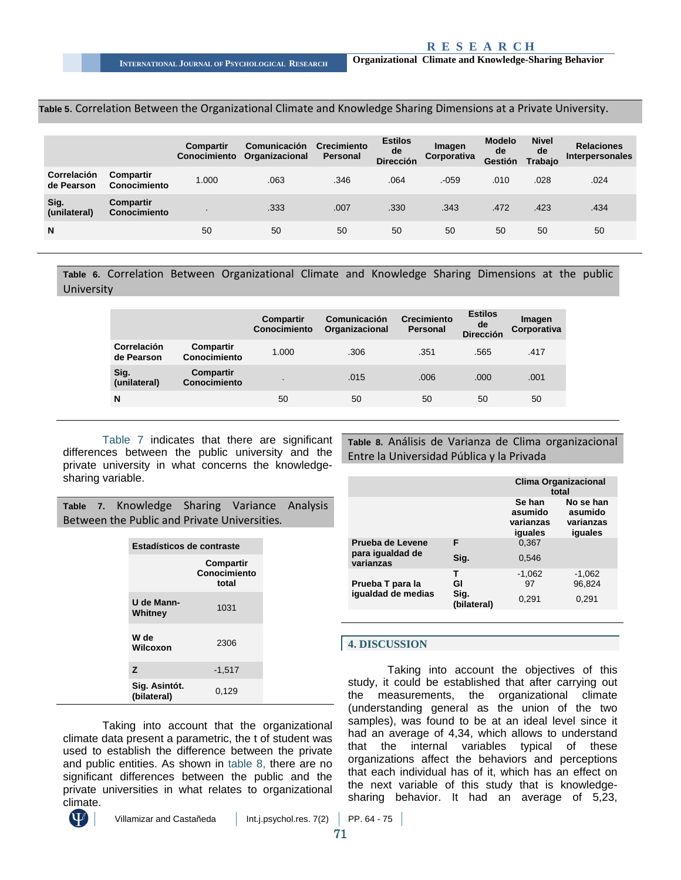#### <span id="page-7-0"></span>**Table 5**. Correlation Between the Organizational Climate and Knowledge Sharing Dimensions at a Private University.

|                           |                           | <b>Compartir</b><br>Conocimiento | <b>Comunicación</b><br>Organizacional | Crecimiento<br><b>Personal</b> | <b>Estilos</b><br>de<br><b>Dirección</b> | Imagen<br>Corporativa | <b>Modelo</b><br>de<br>Gestión | <b>Nivel</b><br>de<br>Trabajo | <b>Relaciones</b><br><b>Interpersonales</b> |
|---------------------------|---------------------------|----------------------------------|---------------------------------------|--------------------------------|------------------------------------------|-----------------------|--------------------------------|-------------------------------|---------------------------------------------|
| Correlación<br>de Pearson | Compartir<br>Conocimiento | 1.000                            | .063                                  | .346                           | .064                                     | $-059$                | .010                           | .028                          | .024                                        |
| Sig.<br>(unilateral)      | Compartir<br>Conocimiento |                                  | .333                                  | .007                           | .330                                     | .343                  | .472                           | .423                          | .434                                        |
| N                         |                           | 50                               | 50                                    | 50                             | 50                                       | 50                    | 50                             | 50                            | 50                                          |

<span id="page-7-1"></span>**Table 6.** Correlation Between Organizational Climate and Knowledge Sharing Dimensions at the public **University** 

|                                  |                                  | Compartir<br><b>Conocimiento</b> | Comunicación<br>Organizacional | <b>Crecimiento</b><br><b>Personal</b> | <b>Estilos</b><br>de<br><b>Dirección</b> | Imagen<br>Corporativa |
|----------------------------------|----------------------------------|----------------------------------|--------------------------------|---------------------------------------|------------------------------------------|-----------------------|
| <b>Correlación</b><br>de Pearson | <b>Compartir</b><br>Conocimiento | 1.000                            | .306                           | .351                                  | .565                                     | .417                  |
| Sig.<br>(unilateral)             | <b>Compartir</b><br>Conocimiento |                                  | .015                           | .006                                  | .000                                     | .001                  |
| N                                |                                  | 50                               | 50                             | 50                                    | 50                                       | 50                    |

[Table 7](#page-7-2) indicates that there are significant differences between the public university and the private university in what concerns the knowledgesharing variable.

<span id="page-7-2"></span>**Table 7.** Knowledge Sharing Variance Analysis Between the Public and Private Universities*.*

| Estadísticos de contraste    |                                    |  |  |  |
|------------------------------|------------------------------------|--|--|--|
|                              | Compartir<br>Conocimiento<br>total |  |  |  |
| U de Mann-<br>Whitney        | 1031                               |  |  |  |
| W de<br>Wilcoxon             | 2306                               |  |  |  |
| z                            | $-1,517$                           |  |  |  |
| Sig. Asintót.<br>(bilateral) | 0,129                              |  |  |  |

Taking into account that the organizational climate data present a parametric, the t of student was used to establish the difference between the private and public entities. As shown in [table 8,](#page-7-3) there are no significant differences between the public and the private universities in what relates to organizational climate.



<span id="page-7-3"></span>**Table 8.** Análisis de Varianza de Clima organizacional Entre la Universidad Pública y la Privada

|                               |                     | <b>Clima Organizacional</b><br>total      |                                              |  |
|-------------------------------|---------------------|-------------------------------------------|----------------------------------------------|--|
|                               |                     | Se han<br>asumido<br>varianzas<br>iguales | No se han<br>asumido<br>varianzas<br>iguales |  |
| Prueba de Levene              | F                   | 0.367                                     |                                              |  |
| para igualdad de<br>varianzas | Sig.                | 0,546                                     |                                              |  |
|                               | т                   | $-1,062$                                  | $-1,062$                                     |  |
| Prueba T para la              | GI                  | 97                                        | 96,824                                       |  |
| iqualdad de medias            | Sig.<br>(bilateral) | 0,291                                     | 0,291                                        |  |

#### **4. DISCUSSION**

Taking into account the objectives of this study, it could be established that after carrying out the measurements, the organizational climate (understanding general as the union of the two samples), was found to be at an ideal level since it had an average of 4,34, which allows to understand that the internal variables typical of these organizations affect the behaviors and perceptions that each individual has of it, which has an effect on the next variable of this study that is knowledgesharing behavior. It had an average of 5,23,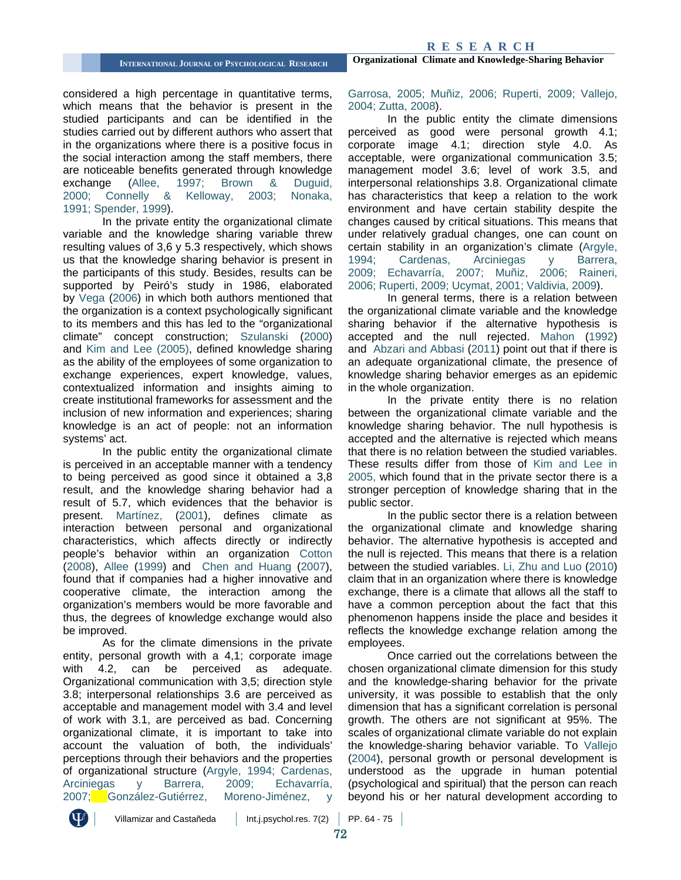considered a high percentage in quantitative terms, which means that the behavior is present in the studied participants and can be identified in the studies carried out by different authors who assert that in the organizations where there is a positive focus in the social interaction among the staff members, there are noticeable benefits generated through knowledge<br>exchange (Allee, 1997; Brown & Duguid, exchange [\(Allee, 1997;](#page-9-4) [Brown & Duguid,](#page-9-5) [2000;](#page-9-5) [Connelly & Kelloway, 2003;](#page-10-15) [Nonaka,](#page-10-12)  [1991;](#page-10-12) [Spender, 1999\)](#page-11-6).

In the private entity the organizational climate variable and the knowledge sharing variable threw resulting values of 3,6 y 5.3 respectively, which shows us that the knowledge sharing behavior is present in the participants of this study. Besides, results can be supported by Peiró's study in 1986, elaborated by [Vega \(2006\)](#page-11-11) in which both authors mentioned that the organization is a context psychologically significant to its members and this has led to the "organizational climate" concept construction; [Szulanski](#page-11-12) (2000) and [Kim and Lee \(2005\),](#page-10-17) defined knowledge sharing as the ability of the employees of some organization to exchange experiences, expert knowledge, values, contextualized information and insights aiming to create institutional frameworks for assessment and the inclusion of new information and experiences; sharing knowledge is an act of people: not an information systems' act.

In the public entity the organizational climate is perceived in an acceptable manner with a tendency to being perceived as good since it obtained a 3,8 result, and the knowledge sharing behavior had a result of 5.7, which evidences that the behavior is present. [Martínez, \(2001\),](#page-10-1) defines climate as interaction between personal and organizational characteristics, which affects directly or indirectly people's behavior within an organization [Cotton](#page-10-26) [\(2008\),](#page-10-26) Allee [\(1999\)](#page-9-6) and [Chen and Huang](#page-10-21) (2007), found that if companies had a higher innovative and cooperative climate, the interaction among the organization's members would be more favorable and thus, the degrees of knowledge exchange would also be improved.

As for the climate dimensions in the private entity, personal growth with a 4,1; corporate image with 4.2, can be perceived as adequate. Organizational communication with 3,5; direction style 3.8; interpersonal relationships 3.6 are perceived as acceptable and management model with 3.4 and level of work with 3.1, are perceived as bad. Concerning organizational climate, it is important to take into account the valuation of both, the individuals' perceptions through their behaviors and the properties of organizational structure [\(Argyle, 1994;](#page-9-11) [Cardenas,](#page-9-0)  [Arciniegas y Barrera, 2009;](#page-9-0) [Echavarría,](#page-10-10)  [2007;](#page-10-10) González-Gutiérrez, Moreno-Jiménez, y

#### [Garrosa, 2005;](#page-10-27) [Muñiz, 2006;](#page-10-28) [Ruperti, 2009;](#page-11-5) [Vallejo,](#page-11-3)  [2004;](#page-11-3) [Zutta, 2008\)](#page-11-2).

In the public entity the climate dimensions perceived as good were personal growth 4.1; corporate image 4.1; direction style 4.0. As acceptable, were organizational communication 3.5; management model 3.6; level of work 3.5, and interpersonal relationships 3.8. Organizational climate has characteristics that keep a relation to the work environment and have certain stability despite the changes caused by critical situations. This means that under relatively gradual changes, one can count on certain stability in an organization's climate [\(Argyle,](#page-9-11)  [1994;](#page-9-11) [Cardenas, Arciniegas y Barrera,](#page-9-0)  [2009;](#page-9-0) [Echavarría, 2007;](#page-10-10) [Muñiz, 2006;](#page-10-28) [Raineri,](#page-11-13)  [2006;](#page-11-13) [Ruperti, 2009;](#page-11-5) [Ucymat, 2001;](#page-11-4) [Valdivia, 2009\)](#page-11-14).

In general terms, there is a relation between the organizational climate variable and the knowledge sharing behavior if the alternative hypothesis is accepted and the null rejected. [Mahon](#page-10-29) (1992) and [Abzari and Abbasi](#page-9-8) (2011) point out that if there is an adequate organizational climate, the presence of knowledge sharing behavior emerges as an epidemic in the whole organization.

In the private entity there is no relation between the organizational climate variable and the knowledge sharing behavior. The null hypothesis is accepted and the alternative is rejected which means that there is no relation between the studied variables. These results differ from those of [Kim and Lee in](#page-10-17)  [2005,](#page-10-17) which found that in the private sector there is a stronger perception of knowledge sharing that in the public sector.

In the public sector there is a relation between the organizational climate and knowledge sharing behavior. The alternative hypothesis is accepted and the null is rejected. This means that there is a relation between the studied variables. [Li, Zhu and Luo](#page-10-23) (2010) claim that in an organization where there is knowledge exchange, there is a climate that allows all the staff to have a common perception about the fact that this phenomenon happens inside the place and besides it reflects the knowledge exchange relation among the employees.

Once carried out the correlations between the chosen organizational climate dimension for this study and the knowledge-sharing behavior for the private university, it was possible to establish that the only dimension that has a significant correlation is personal growth. The others are not significant at 95%. The scales of organizational climate variable do not explain the knowledge-sharing behavior variable. To [Vallejo](#page-11-3)  [\(2004\),](#page-11-3) personal growth or personal development is understood as the upgrade in human potential (psychological and spiritual) that the person can reach beyond his or her natural development according to

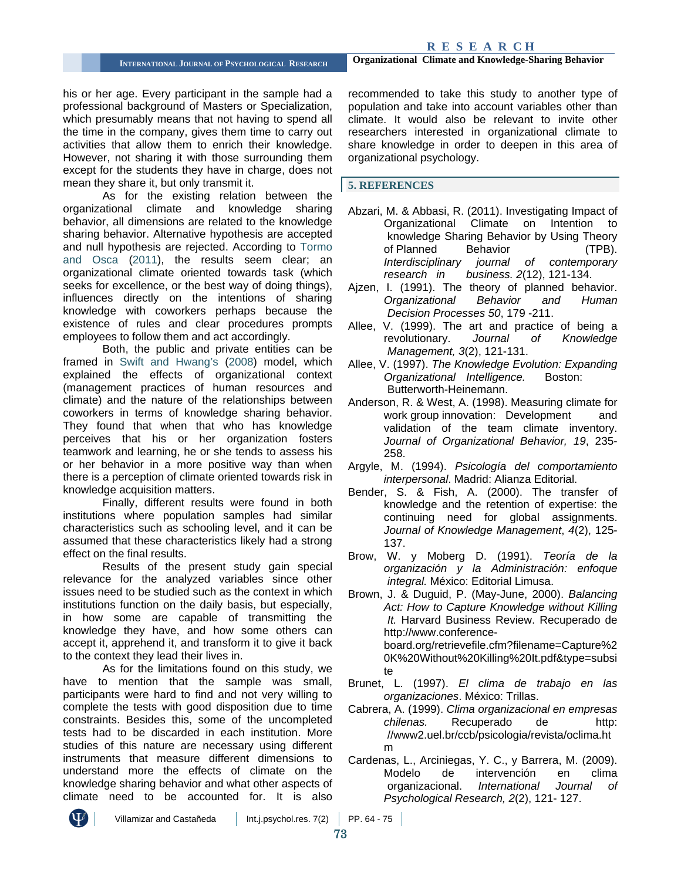his or her age. Every participant in the sample had a professional background of Masters or Specialization, which presumably means that not having to spend all the time in the company, gives them time to carry out activities that allow them to enrich their knowledge. However, not sharing it with those surrounding them except for the students they have in charge, does not mean they share it, but only transmit it.

As for the existing relation between the organizational climate and knowledge sharing behavior, all dimensions are related to the knowledge sharing behavior. Alternative hypothesis are accepted and null hypothesis are rejected. According to [Tormo](#page-11-10)  [and Osca \(2011\),](#page-11-10) the results seem clear; an organizational climate oriented towards task (which seeks for excellence, or the best way of doing things), influences directly on the intentions of sharing knowledge with coworkers perhaps because the existence of rules and clear procedures prompts employees to follow them and act accordingly.

Both, the public and private entities can be framed in [Swift and Hwang's \(2008\)](#page-11-9) model, which explained the effects of organizational context (management practices of human resources and climate) and the nature of the relationships between coworkers in terms of knowledge sharing behavior. They found that when that who has knowledge perceives that his or her organization fosters teamwork and learning, he or she tends to assess his or her behavior in a more positive way than when there is a perception of climate oriented towards risk in knowledge acquisition matters.

Finally, different results were found in both institutions where population samples had similar characteristics such as schooling level, and it can be assumed that these characteristics likely had a strong effect on the final results.

Results of the present study gain special relevance for the analyzed variables since other issues need to be studied such as the context in which institutions function on the daily basis, but especially, in how some are capable of transmitting the knowledge they have, and how some others can accept it, apprehend it, and transform it to give it back to the context they lead their lives in.

As for the limitations found on this study, we have to mention that the sample was small, participants were hard to find and not very willing to complete the tests with good disposition due to time constraints. Besides this, some of the uncompleted tests had to be discarded in each institution. More studies of this nature are necessary using different instruments that measure different dimensions to understand more the effects of climate on the knowledge sharing behavior and what other aspects of climate need to be accounted for. It is also

recommended to take this study to another type of population and take into account variables other than climate. It would also be relevant to invite other researchers interested in organizational climate to share knowledge in order to deepen in this area of organizational psychology.

**5. REFERENCES**

- <span id="page-9-8"></span>Abzari, M. & Abbasi, R. (2011). Investigating Impact of Organizational Climate on Intention to knowledge Sharing Behavior by Using Theory of Planned Behavior (TPB). *Interdisciplinary journal of contemporary research in business. 2*(12), 121-134.
- <span id="page-9-9"></span>Ajzen, I. (1991). The theory of planned behavior. *Organizational Behavior and Human Decision Processes 50*, 179 -211.
- <span id="page-9-6"></span>Allee, V. (1999). The art and practice of being a revolutionary. *Journal of Knowledge Management, 3*(2), 121-131.
- <span id="page-9-4"></span>Allee, V. (1997). *The Knowledge Evolution: Expanding Organizational Intelligence.* Boston: Butterworth-Heinemann.
- <span id="page-9-10"></span>Anderson, R. & West, A. (1998). Measuring climate for work group innovation: Development and validation of the team climate inventory. *Journal of Organizational Behavior, 19*, 235- 258.
- <span id="page-9-11"></span>Argyle, M. (1994). *Psicología del comportamiento interpersonal*. Madrid: Alianza Editorial.
- <span id="page-9-7"></span>Bender, S. & Fish, A. (2000). The transfer of knowledge and the retention of expertise: the continuing need for global assignments. *Journal of Knowledge Management*, *4*(2), 125- 137.
- <span id="page-9-1"></span>Brow, W. y Moberg D. (1991). *Teoría de la organización y la Administración: enfoque integral.* México: Editorial Limusa.
- <span id="page-9-5"></span>Brown, J. & Duguid, P. (May-June, 2000). *Balancing Act: How to Capture Knowledge without Killing It.* Harvard Business Review. Recuperado de http://www.conferenceboard.org/retrievefile.cfm?filename=Capture%2 0K%20Without%20Killing%20It.pdf&type=subsi te
- <span id="page-9-2"></span>Brunet, L. (1997). *El clima de trabajo en las organizaciones*. México: Trillas.
- <span id="page-9-3"></span>Cabrera, A. (1999). *Clima organizacional en empresas chilenas.* Recuperado de http: //www2.uel.br/ccb/psicologia/revista/oclima.ht m
- <span id="page-9-0"></span>Cardenas, L., Arciniegas, Y. C., y Barrera, M. (2009). Modelo de intervención en clima organizacional. *International Journal of Psychological Research, 2*(2), 121- 127.

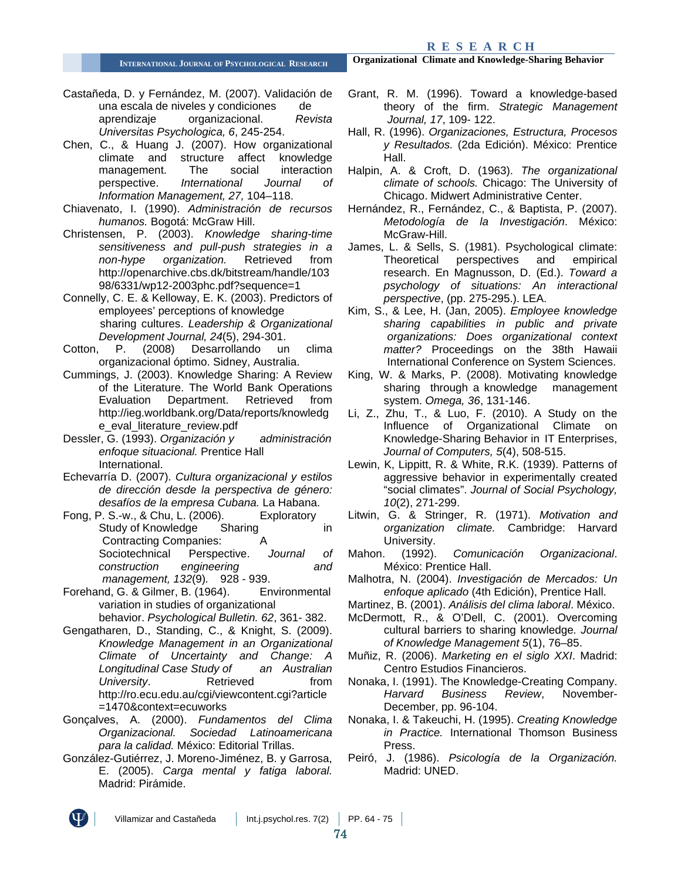**R E S E A R C H**

<span id="page-10-0"></span>Castañeda, D. y Fernández, M. (2007). Validación de una escala de niveles y condiciones de aprendizaje organizacional. *Revista Universitas Psychologica, 6*, 245-254.

<span id="page-10-21"></span>Chen, C., & Huang J. (2007). How organizational climate and structure affect knowledge management. The social interaction<br>perspective. *International Journal of* perspective. *International Journal of Information Management, 27,* 104–118.

- <span id="page-10-6"></span>Chiavenato, I. (1990). *Administración de recursos humanos.* Bogotá: McGraw Hill.
- <span id="page-10-18"></span>Christensen, P. (2003). *Knowledge sharing-time sensitiveness and pull-push strategies in a non-hype organization.* Retrieved from http://openarchive.cbs.dk/bitstream/handle/103 98/6331/wp12-2003phc.pdf?sequence=1

<span id="page-10-15"></span>Connelly, C. E. & Kelloway, E. K. (2003). Predictors of employees' perceptions of knowledge sharing cultures. *Leadership & Organizational Development Journal, 24*(5), 294-301.

- <span id="page-10-26"></span>Cotton, P. (2008) Desarrollando un clima organizacional óptimo. Sidney, Australia.
- <span id="page-10-19"></span>Cummings, J. (2003). Knowledge Sharing: A Review of the Literature. The World Bank Operations Evaluation Department. Retrieved from http://ieg.worldbank.org/Data/reports/knowledg e\_eval\_literature\_review.pdf
- <span id="page-10-3"></span>Dessler, G. (1993). *Organización y administración enfoque situacional.* Prentice Hall International.
- <span id="page-10-10"></span>Echevarría D. (2007). *Cultura organizacional y estilos de dirección desde la perspectiva de género: desafíos de la empresa Cubana.* La Habana.
- <span id="page-10-11"></span>Fong, P. S.-w., & Chu, L. (2006). Exploratory<br>Study of Knowledge Sharing Study of Knowledge Sharing in Contracting Companies: A Sociotechnical Perspective. *Journal of construction engineering and management, 132*(9)*.* 928 - 939.
- <span id="page-10-4"></span>Forehand, G. & Gilmer, B. (1964). Environmental variation in studies of organizational behavior. *Psychological Bulletin. 62*, 361- 382.
- <span id="page-10-22"></span>Gengatharen, D., Standing, C., & Knight, S. (2009). *Knowledge Management in an Organizational Climate of Uncertainty and Change: A*  **Longitudinal Case Study of** *University*. Retrieved from http://ro.ecu.edu.au/cgi/viewcontent.cgi?article =1470&context=ecuworks
- <span id="page-10-8"></span>Gonçalves, A. (2000). *Fundamentos del Clima Organizacional. Sociedad Latinoamericana para la calidad.* México: Editorial Trillas.
- <span id="page-10-27"></span>González-Gutiérrez, J. Moreno-Jiménez, B. y Garrosa, E. (2005). *Carga mental y fatiga laboral.* Madrid: Pirámide.

**INTERNATIONAL JOURNAL OF PSYCHOLOGICAL RESEARCH Organizational Climate and Knowledge-Sharing Behavior**

- <span id="page-10-13"></span>Grant, R. M. (1996). Toward a knowledge-based theory of the firm. *Strategic Management Journal, 17*, 109- 122.
- <span id="page-10-7"></span>Hall, R. (1996). *Organizaciones, Estructura, Procesos y Resultados.* (2da Edición). México: Prentice Hall.

Halpin, A. & Croft, D. (1963). *The organizational climate of schools.* Chicago: The University of Chicago. Midwert Administrative Center.

<span id="page-10-24"></span>Hernández, R., Fernández, C., & Baptista, P. (2007). *Metodología de la Investigación*. México: McGraw-Hill.

<span id="page-10-9"></span>James, L. & Sells, S. (1981). Psychological climate: Theoretical perspectives and empirical research. En Magnusson, D. (Ed.). *Toward a psychology of situations: An interactional perspective*, (pp. 275-295.). LEA.

- <span id="page-10-17"></span>Kim, S., & Lee, H. (Jan, 2005). *Employee knowledge sharing capabilities in public and private organizations: Does organizational context matter?* Proceedings on the 38th Hawaii International Conference on System Sciences.
- <span id="page-10-20"></span>King, W. & Marks, P. (2008). Motivating knowledge sharing through a knowledge management system. *Omega, 36*, 131-146.
- <span id="page-10-23"></span>Li, Z., Zhu, T., & Luo, F. (2010). A Study on the Influence of Organizational Climate on Knowledge-Sharing Behavior in IT Enterprises, *Journal of Computers, 5*(4), 508-515.
- <span id="page-10-2"></span>Lewin, K, Lippitt, R. & White, R.K. (1939). Patterns of aggressive behavior in experimentally created "social climates". *Journal of Social Psychology, 10*(2), 271-299.
- <span id="page-10-5"></span>Litwin, G. & Stringer, R. (1971). *Motivation and organization climate.* Cambridge: Harvard University.
- <span id="page-10-29"></span>Mahon. (1992). *Comunicación Organizacional*. México: Prentice Hall.
- <span id="page-10-25"></span>Malhotra, N. (2004). *Investigación de Mercados: Un enfoque aplicado* (4th Edición), Prentice Hall.

<span id="page-10-1"></span>Martinez, B. (2001). *Análisis del clima laboral*. México.

- <span id="page-10-16"></span>McDermott, R., & O'Dell, C. (2001). Overcoming cultural barriers to sharing knowledge*. Journal of Knowledge Management 5*(1), 76–85.
- <span id="page-10-28"></span>Muñiz, R. (2006). *Marketing en el siglo XXI*. Madrid: Centro Estudios Financieros.
- <span id="page-10-12"></span>Nonaka, I. (1991). The Knowledge-Creating Company. *Harvard Business Review*, November-December, pp. 96-104.
- <span id="page-10-14"></span>Nonaka, I. & Takeuchi, H. (1995). *Creating Knowledge in Practice.* International Thomson Business Press.
- Peiró, J. (1986). *Psicología de la Organización.* Madrid: UNED.



Villamizar and Castañeda  $\parallel$  Int.j.psychol.res. 7(2) PP. 64 - 75